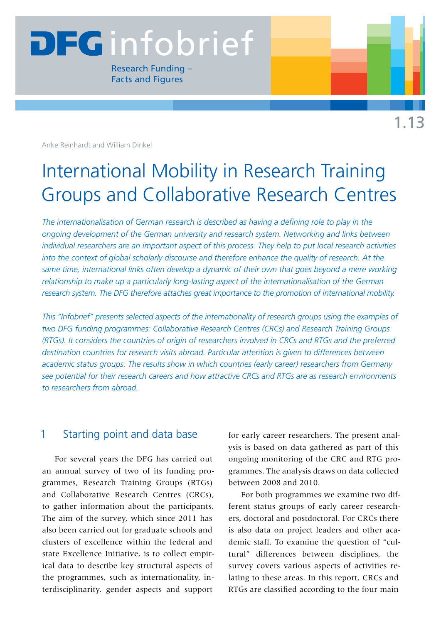# **DEGinfobrief**

Research Funding – Facts and Figures

Anke Reinhardt and William Dinkel

# International Mobility in Research Training Groups and Collaborative Research Centres

*The internationalisation of German research is described as having a defining role to play in the ongoing development of the German university and research system. Networking and links between individual researchers are an important aspect of this process. They help to put local research activities into the context of global scholarly discourse and therefore enhance the quality of research. At the same time, international links often develop a dynamic of their own that goes beyond a mere working relationship to make up a particularly long-lasting aspect of the internationalisation of the German research system. The DFG therefore attaches great importance to the promotion of international mobility.* 

*This "Infobrief" presents selected aspects of the internationality of research groups using the examples of two DFG funding programmes: Collaborative Research Centres (CRCs) and Research Training Groups (RTGs). It considers the countries of origin of researchers involved in CRCs and RTGs and the preferred destination countries for research visits abroad. Particular attention is given to differences between academic status groups. The results show in which countries (early career) researchers from Germany see potential for their research careers and how attractive CRCs and RTGs are as research environments to researchers from abroad.*

## 1 Starting point and data base

For several years the DFG has carried out an annual survey of two of its funding programmes, Research Training Groups (RTGs) and Collaborative Research Centres (CRCs), to gather information about the participants. The aim of the survey, which since 2011 has also been carried out for graduate schools and clusters of excellence within the federal and state Excellence Initiative, is to collect empirical data to describe key structural aspects of the programmes, such as internationality, interdisciplinarity, gender aspects and support

for early career researchers. The present analysis is based on data gathered as part of this ongoing monitoring of the CRC and RTG programmes. The analysis draws on data collected between 2008 and 2010.

For both programmes we examine two different status groups of early career researchers, doctoral and postdoctoral. For CRCs there is also data on project leaders and other academic staff. To examine the question of "cultural" differences between disciplines, the survey covers various aspects of activities relating to these areas. In this report, CRCs and RTGs are classified according to the four main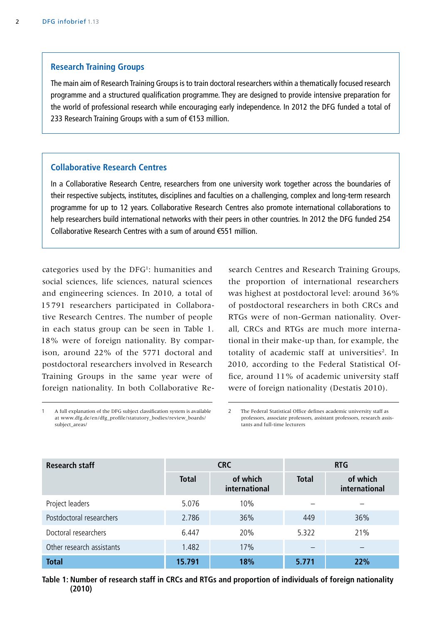#### **Research Training Groups**

The main aim of Research Training Groups is to train doctoral researchers within a thematically focused research programme and a structured qualification programme. They are designed to provide intensive preparation for the world of professional research while encouraging early independence. In 2012 the DFG funded a total of 233 Research Training Groups with a sum of €153 million.

#### **Collaborative Research Centres**

In a Collaborative Research Centre, researchers from one university work together across the boundaries of their respective subjects, institutes, disciplines and faculties on a challenging, complex and long-term research programme for up to 12 years. Collaborative Research Centres also promote international collaborations to help researchers build international networks with their peers in other countries. In 2012 the DFG funded 254 Collaborative Research Centres with a sum of around €551 million.

categories used by the DFG<sup>1</sup>: humanities and social sciences, life sciences, natural sciences and engineering sciences. In 2010, a total of 15 791 researchers participated in Collaborative Research Centres. The number of people in each status group can be seen in Table 1. 18% were of foreign nationality. By comparison, around 22% of the 5771 doctoral and postdoctoral researchers involved in Research Training Groups in the same year were of foreign nationality. In both Collaborative Research Centres and Research Training Groups, the proportion of international researchers was highest at postdoctoral level: around 36% of postdoctoral researchers in both CRCs and RTGs were of non-German nationality. Overall, CRCs and RTGs are much more international in their make-up than, for example, the totality of academic staff at universities<sup>2</sup>. In 2010, according to the Federal Statistical Office, around 11% of academic university staff were of foreign nationality (Destatis 2010).

2 The Federal Statistical Office defines academic university staff as professors, associate professors, assistant professors, research assistants and full-time lecturers

| <b>Research staff</b>     | <b>CRC</b>   |                           | <b>RTG</b>   |                           |
|---------------------------|--------------|---------------------------|--------------|---------------------------|
|                           | <b>Total</b> | of which<br>international | <b>Total</b> | of which<br>international |
| Project leaders           | 5.076        | 10%                       |              |                           |
| Postdoctoral researchers  | 2.786        | 36%                       | 449          | 36%                       |
| Doctoral researchers      | 6.447        | 20%                       | 5.322        | 21%                       |
| Other research assistants | 1.482        | 17%                       |              |                           |
| <b>Total</b>              | 15.791       | 18%                       | 5.771        | 22%                       |

**Table 1: Number of research staff in CRCs and RTGs and proportion of individuals of foreign nationality (2010)**

<sup>1</sup> A full explanation of the DFG subject classification system is available at [www.dfg.de/en/dfg\\_profile/statutory\\_bodies/review\\_boards/](http://www.dfg.de/en/dfg_profile/statutory_bodies/review_boards/subject_areas/) [subject\\_areas/](http://www.dfg.de/en/dfg_profile/statutory_bodies/review_boards/subject_areas/)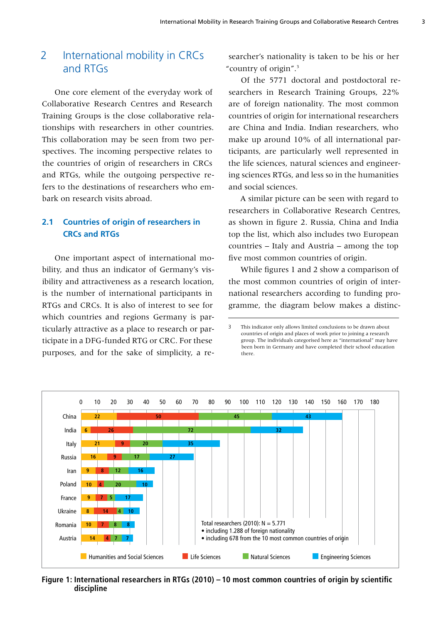# 2 International mobility in CRCs and RTGs

One core element of the everyday work of Collaborative Research Centres and Research Training Groups is the close collaborative relationships with researchers in other countries. This collaboration may be seen from two perspectives. The incoming perspective relates to the countries of origin of researchers in CRCs and RTGs, while the outgoing perspective refers to the destinations of researchers who embark on research visits abroad.

#### **2.1 Countries of origin of researchers in CRCs and RTGs**

One important aspect of international mobility, and thus an indicator of Germany's visibility and attractiveness as a research location, is the number of international participants in RTGs and CRCs. It is also of interest to see for which countries and regions Germany is particularly attractive as a place to research or participate in a DFG-funded RTG or CRC. For these purposes, and for the sake of simplicity, a re-

searcher's nationality is taken to be his or her "country of origin".3

Of the 5771 doctoral and postdoctoral researchers in Research Training Groups, 22% are of foreign nationality. The most common countries of origin for international researchers are China and India. Indian researchers, who make up around 10% of all international participants, are particularly well represented in the life sciences, natural sciences and engineering sciences RTGs, and less so in the humanities and social sciences.

A similar picture can be seen with regard to researchers in Collaborative Research Centres, as shown in figure 2. Russia, China and India top the list, which also includes two European countries – Italy and Austria – among the top five most common countries of origin.

While figures 1 and 2 show a comparison of the most common countries of origin of international researchers according to funding programme, the diagram below makes a distinc-

<sup>3</sup> This indicator only allows limited conclusions to be drawn about countries of origin and places of work prior to joining a research group. The individuals categorised here as "international" may have been born in Germany and have completed their school education there.



**Figure 1: International researchers in RTGs (2010) – 10 most common countries of origin by scientific discipline**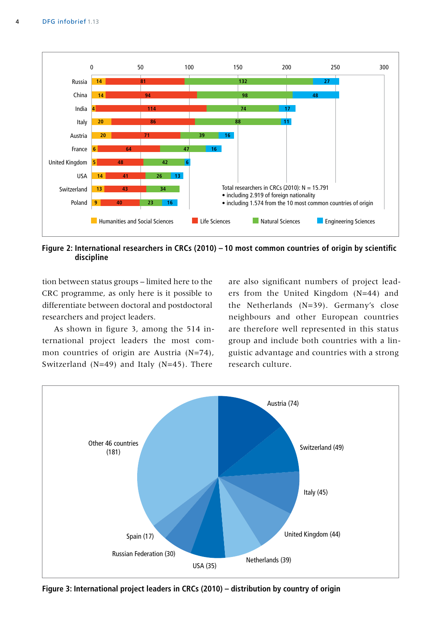

**Figure 2: International researchers in CRCs (2010) – 10 most common countries of origin by scientific discipline**

tion between status groups – limited here to the CRC programme, as only here is it possible to differentiate between doctoral and postdoctoral researchers and project leaders.

As shown in figure 3, among the 514 international project leaders the most common countries of origin are Austria (N=74), Switzerland (N=49) and Italy (N=45). There

are also significant numbers of project leaders from the United Kingdom (N=44) and the Netherlands (N=39). Germany's close neighbours and other European countries are therefore well represented in this status group and include both countries with a linguistic advantage and countries with a strong research culture.



**Figure 3: International project leaders in CRCs (2010) – distribution by country of origin**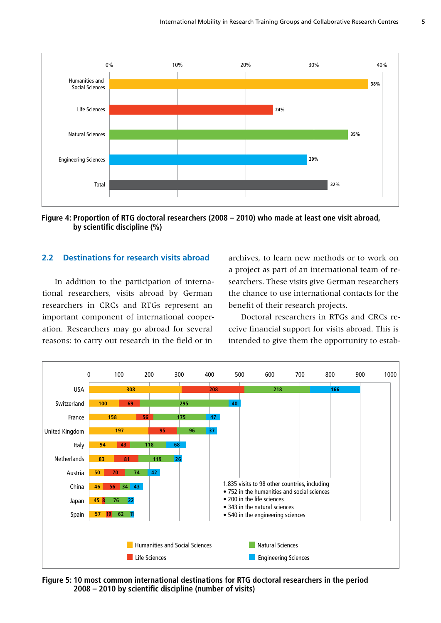

**Figure 4: Proportion of RTG doctoral researchers (2008 – 2010) who made at least one visit abroad, by scientific discipline (%)**

#### **2.2 Destinations for research visits abroad**

In addition to the participation of international researchers, visits abroad by German researchers in CRCs and RTGs represent an important component of international cooperation. Researchers may go abroad for several reasons: to carry out research in the field or in

archives, to learn new methods or to work on a project as part of an international team of researchers. These visits give German researchers the chance to use international contacts for the benefit of their research projects.

Doctoral researchers in RTGs and CRCs receive financial support for visits abroad. This is intended to give them the opportunity to estab-



**Figure 5: 10 most common international destinations for RTG doctoral researchers in the period 2008 – 2010 by scientific discipline (number of visits)**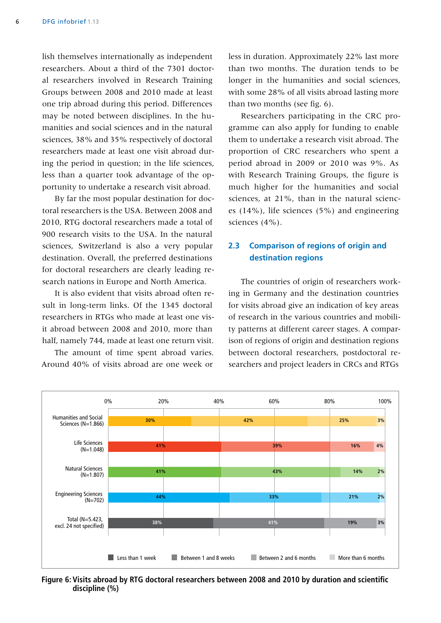lish themselves internationally as independent researchers. About a third of the 7301 doctoral researchers involved in Research Training Groups between 2008 and 2010 made at least one trip abroad during this period. Differences may be noted between disciplines. In the humanities and social sciences and in the natural sciences, 38% and 35% respectively of doctoral researchers made at least one visit abroad during the period in question; in the life sciences, less than a quarter took advantage of the opportunity to undertake a research visit abroad.

By far the most popular destination for doctoral researchers is the USA. Between 2008 and 2010, RTG doctoral researchers made a total of 900 research visits to the USA. In the natural sciences, Switzerland is also a very popular destination. Overall, the preferred destinations for doctoral researchers are clearly leading research nations in Europe and North America.

It is also evident that visits abroad often result in long-term links. Of the 1345 doctoral researchers in RTGs who made at least one visit abroad between 2008 and 2010, more than half, namely 744, made at least one return visit.

The amount of time spent abroad varies. Around 40% of visits abroad are one week or

less in duration. Approximately 22% last more than two months. The duration tends to be longer in the humanities and social sciences, with some 28% of all visits abroad lasting more than two months (see fig. 6).

Researchers participating in the CRC programme can also apply for funding to enable them to undertake a research visit abroad. The proportion of CRC researchers who spent a period abroad in 2009 or 2010 was 9%. As with Research Training Groups, the figure is much higher for the humanities and social sciences, at 21%, than in the natural sciences (14%), life sciences (5%) and engineering sciences (4%).

#### **2.3 Comparison of regions of origin and destination regions**

The countries of origin of researchers working in Germany and the destination countries for visits abroad give an indication of key areas of research in the various countries and mobility patterns at different career stages. A comparison of regions of origin and destination regions between doctoral researchers, postdoctoral researchers and project leaders in CRCs and RTGs



**Figure 6: Visits abroad by RTG doctoral researchers between 2008 and 2010 by duration and scientific discipline (%)**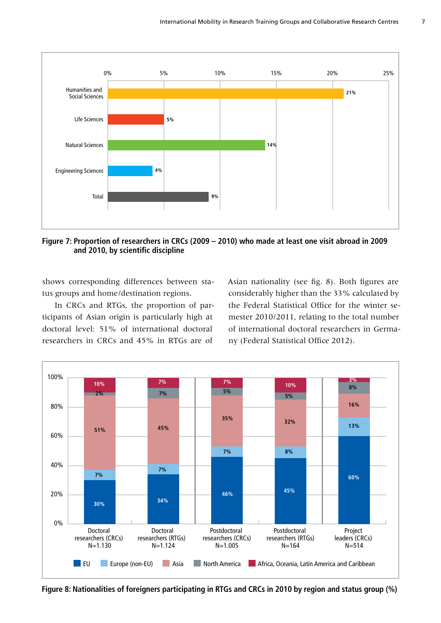

**Figure 7: Proportion of researchers in CRCs (2009 – 2010) who made at least one visit abroad in 2009 and 2010, by scientific discipline**

shows corresponding differences between status groups and home/destination regions.

In CRCs and RTGs, the proportion of participants of Asian origin is particularly high at doctoral level: 51% of international doctoral researchers in CRCs and 45% in RTGs are of

Asian nationality (see fig. 8). Both figures are considerably higher than the 33% calculated by the Federal Statistical Office for the winter semester 2010/2011, relating to the total number of international doctoral researchers in Germany (Federal Statistical Office 2012).



**Figure 8: Nationalities of foreigners participating in RTGs and CRCs in 2010 by region and status group (%)**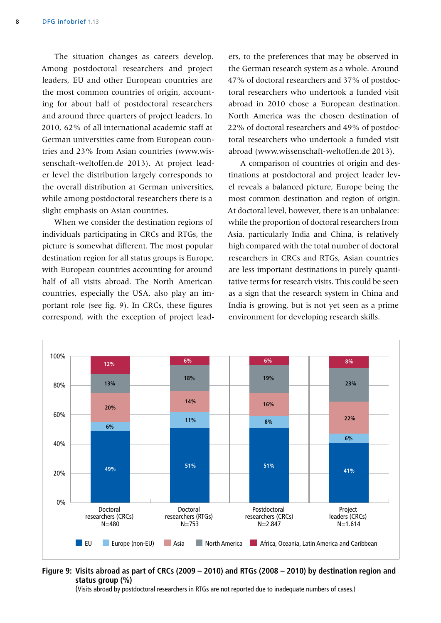The situation changes as careers develop. Among postdoctoral researchers and project leaders, EU and other European countries are the most common countries of origin, accounting for about half of postdoctoral researchers and around three quarters of project leaders. In 2010, 62% of all international academic staff at German universities came from European countries and 23% from Asian countries (www.wissenschaft-weltoffen.de 2013). At project leader level the distribution largely corresponds to the overall distribution at German universities, while among postdoctoral researchers there is a slight emphasis on Asian countries.

When we consider the destination regions of individuals participating in CRCs and RTGs, the picture is somewhat different. The most popular destination region for all status groups is Europe, with European countries accounting for around half of all visits abroad. The North American countries, especially the USA, also play an important role (see fig. 9). In CRCs, these figures correspond, with the exception of project leaders, to the preferences that may be observed in the German research system as a whole. Around 47% of doctoral researchers and 37% of postdoctoral researchers who undertook a funded visit abroad in 2010 chose a European destination. North America was the chosen destination of 22% of doctoral researchers and 49% of postdoctoral researchers who undertook a funded visit abroad (www.wissenschaft-weltoffen.de 2013).

A comparison of countries of origin and destinations at postdoctoral and project leader level reveals a balanced picture, Europe being the most common destination and region of origin. At doctoral level, however, there is an unbalance: while the proportion of doctoral researchers from Asia, particularly India and China, is relatively high compared with the total number of doctoral researchers in CRCs and RTGs, Asian countries are less important destinations in purely quantitative terms for research visits. This could be seen as a sign that the research system in China and India is growing, but is not yet seen as a prime environment for developing research skills.



**Figure 9: Visits abroad as part of CRCs (2009 – 2010) and RTGs (2008 – 2010) by destination region and status group (%)**

(Visits abroad by postdoctoral researchers in RTGs are not reported due to inadequate numbers of cases.)